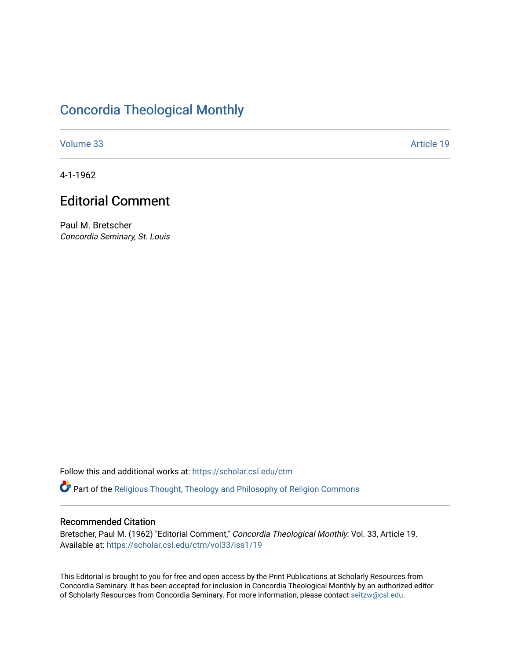## [Concordia Theological Monthly](https://scholar.csl.edu/ctm)

[Volume 33](https://scholar.csl.edu/ctm/vol33) Article 19

4-1-1962

## Editorial Comment

Paul M. Bretscher Concordia Seminary, St. Louis

Follow this and additional works at: [https://scholar.csl.edu/ctm](https://scholar.csl.edu/ctm?utm_source=scholar.csl.edu%2Fctm%2Fvol33%2Fiss1%2F19&utm_medium=PDF&utm_campaign=PDFCoverPages)

Part of the [Religious Thought, Theology and Philosophy of Religion Commons](http://network.bepress.com/hgg/discipline/544?utm_source=scholar.csl.edu%2Fctm%2Fvol33%2Fiss1%2F19&utm_medium=PDF&utm_campaign=PDFCoverPages) 

### Recommended Citation

Bretscher, Paul M. (1962) "Editorial Comment," Concordia Theological Monthly: Vol. 33, Article 19. Available at: [https://scholar.csl.edu/ctm/vol33/iss1/19](https://scholar.csl.edu/ctm/vol33/iss1/19?utm_source=scholar.csl.edu%2Fctm%2Fvol33%2Fiss1%2F19&utm_medium=PDF&utm_campaign=PDFCoverPages) 

This Editorial is brought to you for free and open access by the Print Publications at Scholarly Resources from Concordia Seminary. It has been accepted for inclusion in Concordia Theological Monthly by an authorized editor of Scholarly Resources from Concordia Seminary. For more information, please contact [seitzw@csl.edu](mailto:seitzw@csl.edu).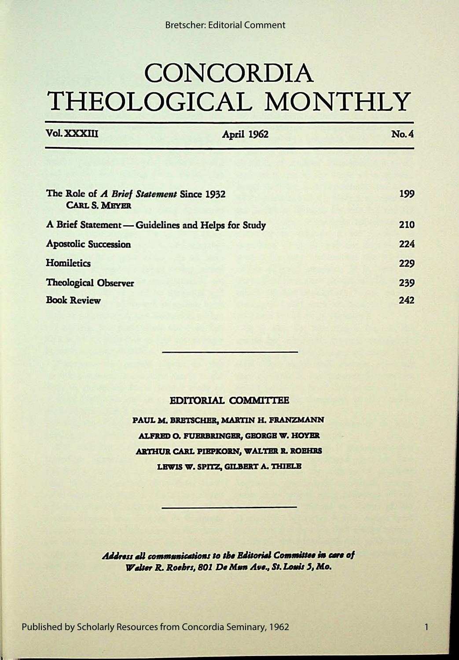# CONCORDIA THEOLOGICAL MONTHLY

| Vol. XXXIII                                                      | April 1962 | No. 4 |
|------------------------------------------------------------------|------------|-------|
| The Role of A Brief Statement Since 1932<br><b>CARL S. MEYER</b> |            | 199   |
| A Brief Statement - Guidelines and Helps for Study               |            | 210   |
| <b>Apostolic Succession</b>                                      |            | 224   |
| <b>Homiletics</b>                                                |            | 229   |
| <b>Theological Observer</b>                                      |            | 239   |
| <b>Book Review</b>                                               |            | 242   |

### **EDITORIAL COMMITTEE**

PAUL M. BRETSCHER, MARTIN H. FRANZMANN ALFRED O. FUERBRINGER, GEORGE W. HOYER ARTHUR CARL PIEPKORN, WALTER R. ROEHRS LEWIS W. SPITZ, GILBERT A. THIELE

Address all communications to the Editorial Committee in care of Walter R. Roebrs, 801 De Mun Ave., St. Louis 5, Mo.

 $\mathbf{1}$ 

Published by Scholarly Resources from Concordia Seminary, 1962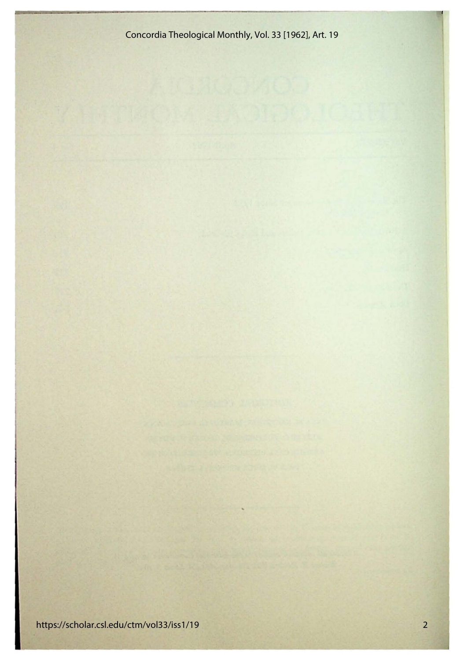https://scholar.csl.edu/ctm/vol33/iss1/19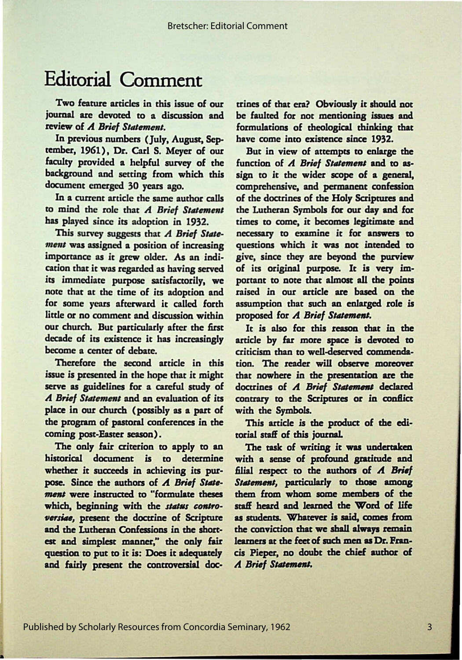## Editorial Comment

Two feature articles in this issue of our journal arc devoted *to* a discussion and review of *A Brief Statement*.

In previous numbers (July, August, September, 1961), Dr. Carl S. Meyer of our faculty provided a helpful survey of the background and setting from which this document emerged 30 years ago.

In **a** current article the same author calls to mind the role that *A Brief Statement* has played since its adoption in 1932.

This survey suggests that *A Brief Statement* was assigned a position of increasing importance as it grew older. As an indication *that it* was regarded as having served its immediate purpose satisfactorily, we note that at the time of its adoption and for some years afterward it called forth little or no comment and discussion within our church. But particularly after the first decade of its existence it has increasingly become a center of debate.

Therefore the second article in this issue is presented in the hope *that it* might **serve as** guidelines for a careful study of *A Brief Statement* and an evaluation of its place in our church (possibly as a part of the program of pastoral conferences in the coming post-Easter season).

The only fair criterion to apply to an historical document is *to* determine whether it succeeds in achieving its purpose. Since the authors of A Brief State*ment* were instructed to "formulate theses which, beginning with the *status* contro*versiae*, present the doctrine of Scripture and the Lutheran Confessions in the short**est and** simplest manner," the only fair question *to* put *to it* is: Does it adequately and fairly present the controversial docttines of *that* era? Obviously it should not be faulted for not mentioning **issues and**  formulations of theological thinking that have come into existence since 1932.

But in view of attempts to enlarge the function of A Brief Statement and to assign *to it* the wider scope of a general, comprehensive, and permanent confession of the doctrines of the Holy Scriptures and the Lutheran Symbols for our day and for times to come, it becomes legitimate and necessary *to* examine it for answers *to*  questions which it was not intended *to*  give, since they are beyond the purview of its original purpose. It is very important *to* note that almost all the points raised in our article are based on the assumption that such an enlarged role is proposed for A Brief Statement.

It is also for this reason *that* in the article by far more space is devoted *to*  criticism than *to* well-deserved commendation. The reader **will observe .moreover**  that nowhere in the **presentation are** the doctrines of A Brief Statement declared contrary to the Scriptures or in conflict with the Symbols.

This article is the product of the editorial staff of this journal.

The task of writing it was undertaken with a sense of profound gratitude and filial respect to the authors of A Brief Statement, particularly to those among them from whom some members of the staff heard and learned the Word of life as students. Whatever is said, comes from the conviction that we shall always remain learners at the feet of such men as Dr. Francis Pieper, no *doubt* the chief author of **A** Brief Statement.